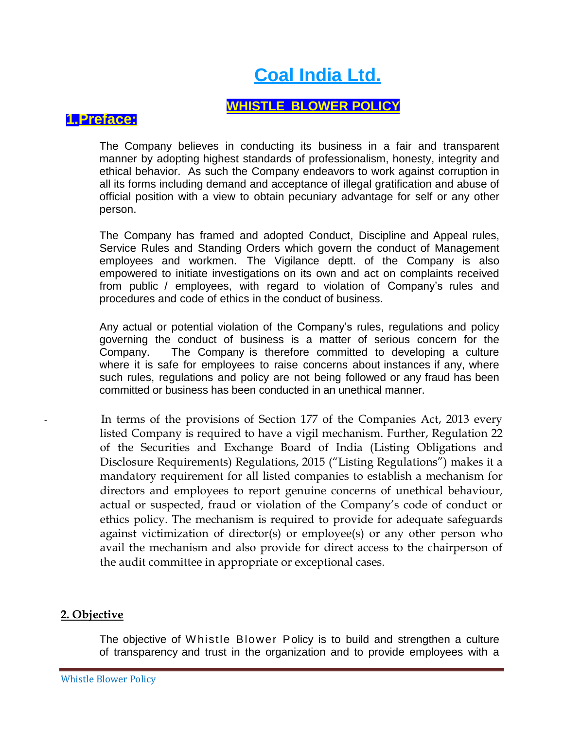# **Coal India Ltd.**

# **WHISTLE BLOWER POLICY**

## **1.Preface:**

The Company believes in conducting its business in a fair and transparent manner by adopting highest standards of professionalism, honesty, integrity and ethical behavior. As such the Company endeavors to work against corruption in all its forms including demand and acceptance of illegal gratification and abuse of official position with a view to obtain pecuniary advantage for self or any other person.

The Company has framed and adopted Conduct, Discipline and Appeal rules, Service Rules and Standing Orders which govern the conduct of Management employees and workmen. The Vigilance deptt. of the Company is also empowered to initiate investigations on its own and act on complaints received from public / employees, with regard to violation of Company's rules and procedures and code of ethics in the conduct of business.

Any actual or potential violation of the Company's rules, regulations and policy governing the conduct of business is a matter of serious concern for the Company. The Company is therefore committed to developing a culture where it is safe for employees to raise concerns about instances if any, where such rules, regulations and policy are not being followed or any fraud has been committed or business has been conducted in an unethical manner.

In terms of the provisions of Section 177 of the Companies Act, 2013 every listed Company is required to have a vigil mechanism. Further, Regulation 22 of the Securities and Exchange Board of India (Listing Obligations and Disclosure Requirements) Regulations, 2015 ("Listing Regulations") makes it a mandatory requirement for all listed companies to establish a mechanism for directors and employees to report genuine concerns of unethical behaviour, actual or suspected, fraud or violation of the Company's code of conduct or ethics policy. The mechanism is required to provide for adequate safeguards against victimization of director(s) or employee(s) or any other person who avail the mechanism and also provide for direct access to the chairperson of the audit committee in appropriate or exceptional cases.

## **2. Objective**

The objective of W histle Blower Policy is to build and strengthen a culture of transparency and trust in the organization and to provide employees with a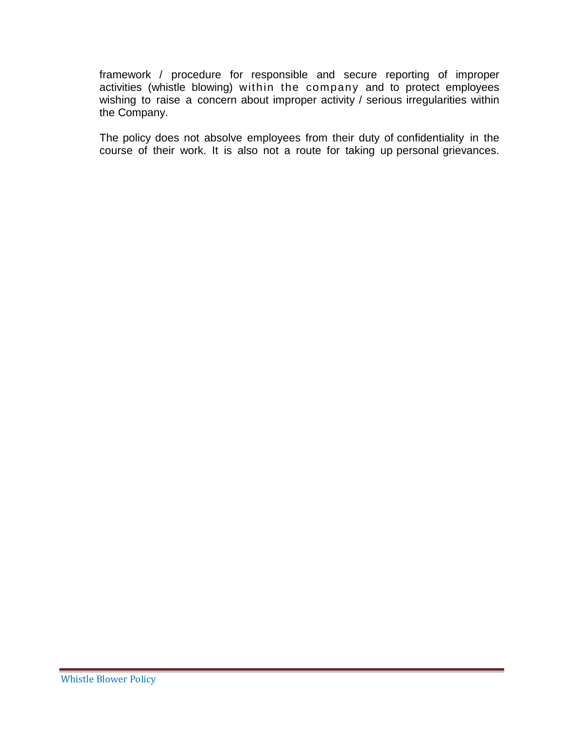framework / procedure for responsible and secure reporting of improper activities (whistle blowing) within the company and to protect employees wishing to raise a concern about improper activity / serious irregularities within the Company.

The policy does not absolve employees from their duty of confidentiality in the course of their work. It is also not a route for taking up personal grievances.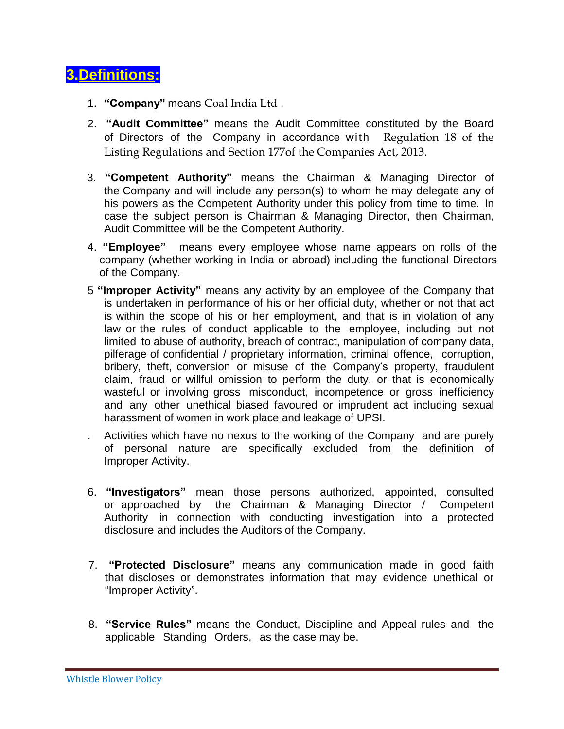# **3.Definitions:**

- 1. **"Company"** means Coal India Ltd .
- 2. **"Audit Committee"** means the Audit Committee constituted by the Board of Directors of the Company in accordance with Regulation 18 of the Listing Regulations and Section 177of the Companies Act, 2013.
- 3. **"Competent Authority"** means the Chairman & Managing Director of the Company and will include any person(s) to whom he may delegate any of his powers as the Competent Authority under this policy from time to time. In case the subject person is Chairman & Managing Director, then Chairman, Audit Committee will be the Competent Authority.
- 4. **"Employee"** means every employee whose name appears on rolls of the company (whether working in India or abroad) including the functional Directors of the Company.
- 5 **"Improper Activity"** means any activity by an employee of the Company that is undertaken in performance of his or her official duty, whether or not that act is within the scope of his or her employment, and that is in violation of any law or the rules of conduct applicable to the employee, including but not limited to abuse of authority, breach of contract, manipulation of company data, pilferage of confidential / proprietary information, criminal offence, corruption, bribery, theft, conversion or misuse of the Company's property, fraudulent claim, fraud or willful omission to perform the duty, or that is economically wasteful or involving gross misconduct, incompetence or gross inefficiency and any other unethical biased favoured or imprudent act including sexual harassment of women in work place and leakage of UPSI.
- . Activities which have no nexus to the working of the Company and are purely of personal nature are specifically excluded from the definition of Improper Activity.
- 6. **"Investigators"** mean those persons authorized, appointed, consulted or approached by the Chairman & Managing Director / Competent Authority in connection with conducting investigation into a protected disclosure and includes the Auditors of the Company.
- 7. **"Protected Disclosure"** means any communication made in good faith that discloses or demonstrates information that may evidence unethical or "Improper Activity".
- 8. **"Service Rules"** means the Conduct, Discipline and Appeal rules and the applicable Standing Orders, as the case may be.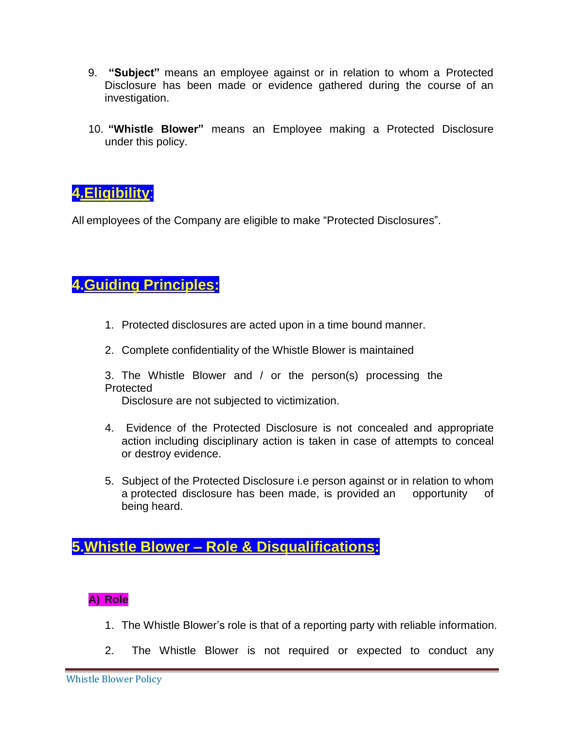- 9. **"Subject"** means an employee against or in relation to whom a Protected Disclosure has been made or evidence gathered during the course of an investigation.
- 10. **"Whistle Blower"** means an Employee making a Protected Disclosure under this policy.

**4.Eligibility**:

All employees of the Company are eligible to make "Protected Disclosures".

# **4.Guiding Principles:**

- 1. Protected disclosures are acted upon in a time bound manner.
- 2. Complete confidentiality of the Whistle Blower is maintained
- 3. The Whistle Blower and / or the person(s) processing the Protected

Disclosure are not subjected to victimization.

- 4. Evidence of the Protected Disclosure is not concealed and appropriate action including disciplinary action is taken in case of attempts to conceal or destroy evidence.
- 5. Subject of the Protected Disclosure i.e person against or in relation to whom a protected disclosure has been made, is provided an opportunity of being heard.

**5.Whistle Blower – Role & Disqualifications:**

## **A) Role**

- 1. The Whistle Blower's role is that of a reporting party with reliable information.
- 2. The Whistle Blower is not required or expected to conduct any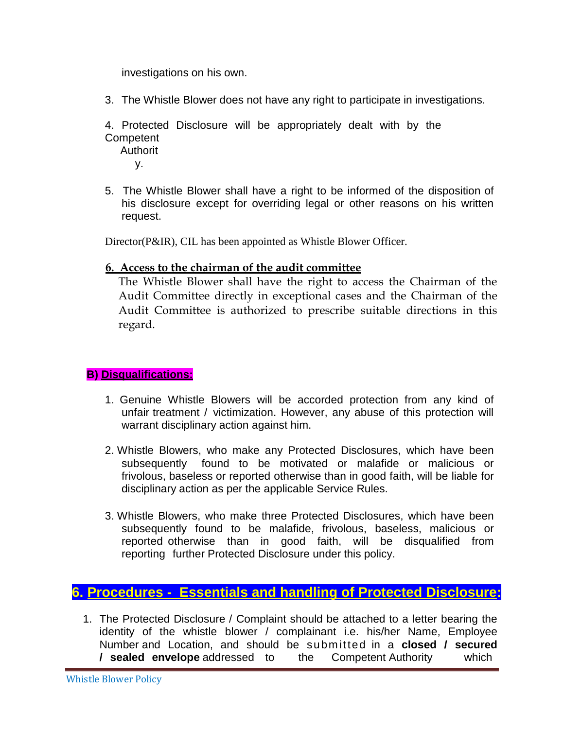investigations on his own.

- 3. The Whistle Blower does not have any right to participate in investigations.
- 4. Protected Disclosure will be appropriately dealt with by the **Competent**

Authorit y.

5. The Whistle Blower shall have a right to be informed of the disposition of his disclosure except for overriding legal or other reasons on his written request.

Director(P&IR), CIL has been appointed as Whistle Blower Officer.

#### **6. Access to the chairman of the audit committee**

The Whistle Blower shall have the right to access the Chairman of the Audit Committee directly in exceptional cases and the Chairman of the Audit Committee is authorized to prescribe suitable directions in this regard.

#### **B) Disqualifications:**

- 1. Genuine Whistle Blowers will be accorded protection from any kind of unfair treatment / victimization. However, any abuse of this protection will warrant disciplinary action against him.
- 2. Whistle Blowers, who make any Protected Disclosures, which have been subsequently found to be motivated or malafide or malicious or frivolous, baseless or reported otherwise than in good faith, will be liable for disciplinary action as per the applicable Service Rules.
- 3. Whistle Blowers, who make three Protected Disclosures, which have been subsequently found to be malafide, frivolous, baseless, malicious or reported otherwise than in good faith, will be disqualified from reporting further Protected Disclosure under this policy.

## **6. Procedures - Essentials and handling of Protected Disclosure:**

1. The Protected Disclosure / Complaint should be attached to a letter bearing the identity of the whistle blower / complainant i.e. his/her Name, Employee Number and Location, and should be submitted in a **closed / secured / sealed envelope** addressed to the Competent Authority which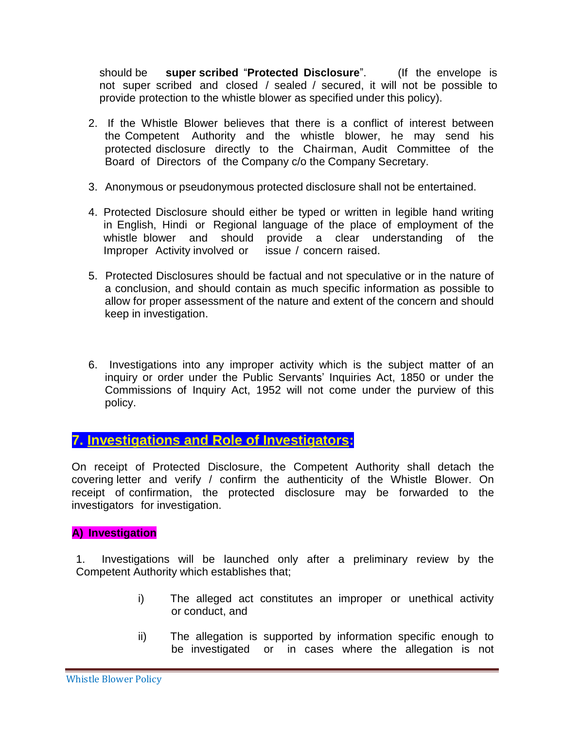should be **super scribed** "**Protected Disclosure**". (If the envelope is not super scribed and closed / sealed / secured, it will not be possible to provide protection to the whistle blower as specified under this policy).

- 2. If the Whistle Blower believes that there is a conflict of interest between the Competent Authority and the whistle blower, he may send his protected disclosure directly to the Chairman, Audit Committee of the Board of Directors of the Company c/o the Company Secretary.
- 3. Anonymous or pseudonymous protected disclosure shall not be entertained.
- 4. Protected Disclosure should either be typed or written in legible hand writing in English, Hindi or Regional language of the place of employment of the whistle blower and should provide a clear understanding of the Improper Activity involved or issue / concern raised.
- 5. Protected Disclosures should be factual and not speculative or in the nature of a conclusion, and should contain as much specific information as possible to allow for proper assessment of the nature and extent of the concern and should keep in investigation.
- 6. Investigations into any improper activity which is the subject matter of an inquiry or order under the Public Servants' Inquiries Act, 1850 or under the Commissions of Inquiry Act, 1952 will not come under the purview of this policy.

## **7. Investigations and Role of Investigators:**

On receipt of Protected Disclosure, the Competent Authority shall detach the covering letter and verify / confirm the authenticity of the Whistle Blower. On receipt of confirmation, the protected disclosure may be forwarded to the investigators for investigation.

#### **A) Investigation**

1. Investigations will be launched only after a preliminary review by the Competent Authority which establishes that;

- i) The alleged act constitutes an improper or unethical activity or conduct, and
- ii) The allegation is supported by information specific enough to be investigated or in cases where the allegation is not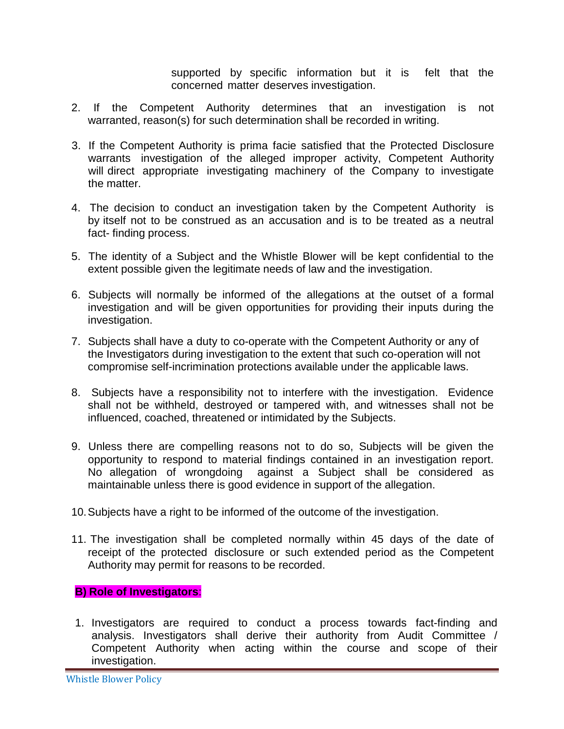supported by specific information but it is felt that the concerned matter deserves investigation.

- 2. If the Competent Authority determines that an investigation is not warranted, reason(s) for such determination shall be recorded in writing.
- 3. If the Competent Authority is prima facie satisfied that the Protected Disclosure warrants investigation of the alleged improper activity, Competent Authority will direct appropriate investigating machinery of the Company to investigate the matter.
- 4. The decision to conduct an investigation taken by the Competent Authority is by itself not to be construed as an accusation and is to be treated as a neutral fact- finding process.
- 5. The identity of a Subject and the Whistle Blower will be kept confidential to the extent possible given the legitimate needs of law and the investigation.
- 6. Subjects will normally be informed of the allegations at the outset of a formal investigation and will be given opportunities for providing their inputs during the investigation.
- 7. Subjects shall have a duty to co-operate with the Competent Authority or any of the Investigators during investigation to the extent that such co-operation will not compromise self-incrimination protections available under the applicable laws.
- 8. Subjects have a responsibility not to interfere with the investigation. Evidence shall not be withheld, destroyed or tampered with, and witnesses shall not be influenced, coached, threatened or intimidated by the Subjects.
- 9. Unless there are compelling reasons not to do so, Subjects will be given the opportunity to respond to material findings contained in an investigation report. No allegation of wrongdoing against a Subject shall be considered as maintainable unless there is good evidence in support of the allegation.
- 10.Subjects have a right to be informed of the outcome of the investigation.
- 11. The investigation shall be completed normally within 45 days of the date of receipt of the protected disclosure or such extended period as the Competent Authority may permit for reasons to be recorded.

#### **B) Role of Investigators**:

1. Investigators are required to conduct a process towards fact-finding and analysis. Investigators shall derive their authority from Audit Committee / Competent Authority when acting within the course and scope of their investigation.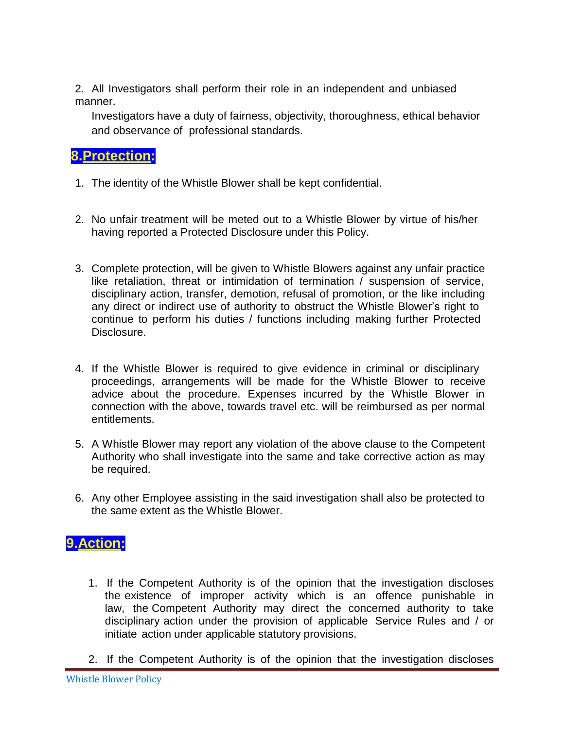2. All Investigators shall perform their role in an independent and unbiased manner.

Investigators have a duty of fairness, objectivity, thoroughness, ethical behavior and observance of professional standards.

# **8.Protection:**

- 1. The identity of the Whistle Blower shall be kept confidential.
- 2. No unfair treatment will be meted out to a Whistle Blower by virtue of his/her having reported a Protected Disclosure under this Policy.
- 3. Complete protection, will be given to Whistle Blowers against any unfair practice like retaliation, threat or intimidation of termination / suspension of service, disciplinary action, transfer, demotion, refusal of promotion, or the like including any direct or indirect use of authority to obstruct the Whistle Blower's right to continue to perform his duties / functions including making further Protected Disclosure.
- 4. If the Whistle Blower is required to give evidence in criminal or disciplinary proceedings, arrangements will be made for the Whistle Blower to receive advice about the procedure. Expenses incurred by the Whistle Blower in connection with the above, towards travel etc. will be reimbursed as per normal entitlements.
- 5. A Whistle Blower may report any violation of the above clause to the Competent Authority who shall investigate into the same and take corrective action as may be required.
- 6. Any other Employee assisting in the said investigation shall also be protected to the same extent as the Whistle Blower.

# **9.Action:**

- 1. If the Competent Authority is of the opinion that the investigation discloses the existence of improper activity which is an offence punishable in law, the Competent Authority may direct the concerned authority to take disciplinary action under the provision of applicable Service Rules and / or initiate action under applicable statutory provisions.
- 2. If the Competent Authority is of the opinion that the investigation discloses